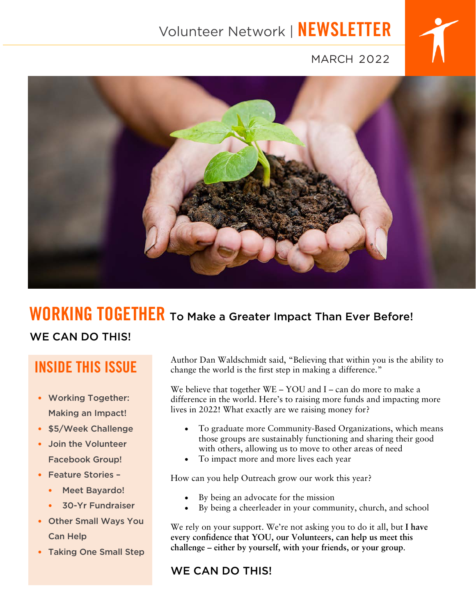# Volunteer Network | NEWSLETTER



### MARCH 2022



# WORKING TOGETHER To Make a Greater Impact Than Ever Before!

### WE CAN DO THIS!

# INSIDE THIS ISSUE

- Working Together: Making an Impact!
- \$5/Week Challenge
- Join the Volunteer Facebook Group!
- Feature Stories
	- Meet Bayardo!
	- 30-Yr Fundraiser
- Other Small Ways You Can Help
- Taking One Small Step

Author Dan Waldschmidt said, "Believing that within you is the ability to change the world is the first step in making a difference."

We believe that together WE – YOU and I – can do more to make a difference in the world. Here's to raising more funds and impacting more lives in 2022! What exactly are we raising money for?

- To graduate more Community-Based Organizations, which means those groups are sustainably functioning and sharing their good with others, allowing us to move to other areas of need
- To impact more and more lives each year

How can you help Outreach grow our work this year?

- By being an advocate for the mission
- By being a cheerleader in your community, church, and school

We rely on your support. We're not asking you to do it all, but **I have every confidence that YOU, our Volunteers, can help us meet this challenge – either by yourself, with your friends, or your group**.

### WE CAN DO THIS!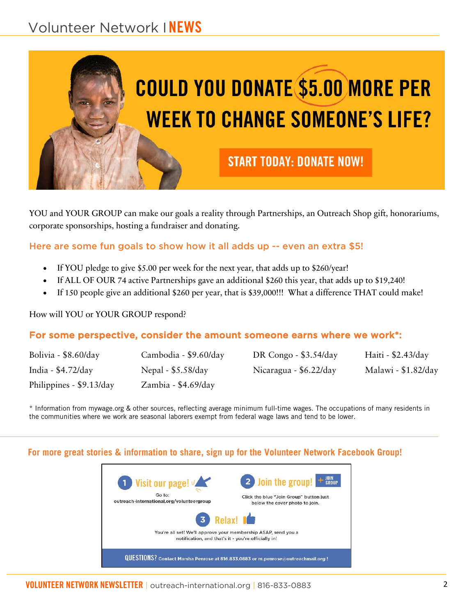## Volunteer Network INEWS



YOU and YOUR GROUP can make our goals a reality through Partnerships, an Outreach Shop gift, honorariums, corporate sponsorships, hosting a fundraiser and donating.

#### Here are some fun goals to show how it all adds up -- even an extra \$5!

- If YOU pledge to give \$5.00 per week for the next year, that adds up to \$260/year!
- If ALL OF OUR 74 active Partnerships gave an additional \$260 this year, that adds up to \$19,240!
- If 150 people give an additional \$260 per year, that is \$39,000!!! What a difference THAT could make!

#### How will YOU or YOUR GROUP respond?

#### For some perspective, consider the amount someone earns where we work\*:

| Bolivia - \$8.60/day     | Cambodia - \$9.60/day | DR Congo - $$3.54$ /day | Haiti - \$2.43/day  |
|--------------------------|-----------------------|-------------------------|---------------------|
| India - $$4.72$ /day     | Nepal - $$5.58/day$   | Nicaragua - \$6.22/day  | Malawi - \$1.82/day |
| Philippines - \$9.13/day | Zambia - $$4.69$ /day |                         |                     |

\* Information from mywage.org & other sources, reflecting average minimum full-time wages. The occupations of many residents in the communities where we work are seasonal laborers exempt from federal wage laws and tend to be lower.

#### **For more great stories & information to share, sign up for the Volunteer Network Facebook Group!**

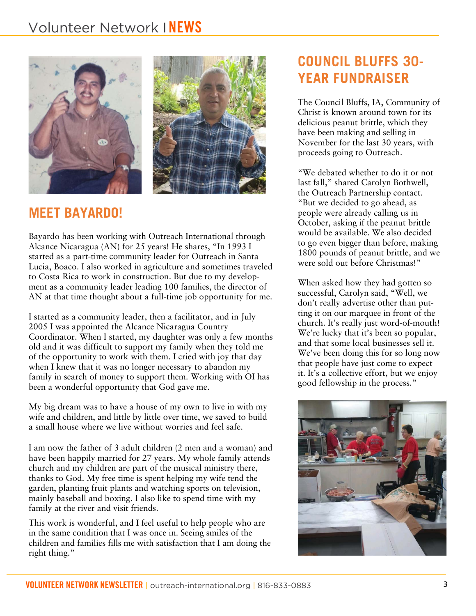### Volunteer Network INEWS





### **MEET BAYARDO!**

Bayardo has been working with Outreach International through Alcance Nicaragua (AN) for 25 years! He shares, "In 1993 I started as a part-time community leader for Outreach in Santa Lucia, Boaco. I also worked in agriculture and sometimes traveled to Costa Rica to work in construction. But due to my development as a community leader leading 100 families, the director of AN at that time thought about a full-time job opportunity for me.

I started as a community leader, then a facilitator, and in July 2005 I was appointed the Alcance Nicaragua Country Coordinator. When I started, my daughter was only a few months old and it was difficult to support my family when they told me of the opportunity to work with them. I cried with joy that day when I knew that it was no longer necessary to abandon my family in search of money to support them. Working with OI has been a wonderful opportunity that God gave me.

My big dream was to have a house of my own to live in with my wife and children, and little by little over time, we saved to build a small house where we live without worries and feel safe.

I am now the father of 3 adult children (2 men and a woman) and have been happily married for 27 years. My whole family attends church and my children are part of the musical ministry there, thanks to God. My free time is spent helping my wife tend the garden, planting fruit plants and watching sports on television, mainly baseball and boxing. I also like to spend time with my family at the river and visit friends.

This work is wonderful, and I feel useful to help people who are in the same condition that I was once in. Seeing smiles of the children and families fills me with satisfaction that I am doing the right thing."

### **COUNCIL BLUFFS 30- YEAR FUNDRAISER**

The Council Bluffs, IA, Community of Christ is known around town for its delicious peanut brittle, which they have been making and selling in November for the last 30 years, with proceeds going to Outreach.

"We debated whether to do it or not last fall," shared Carolyn Bothwell, the Outreach Partnership contact. "But we decided to go ahead, as people were already calling us in October, asking if the peanut brittle would be available. We also decided to go even bigger than before, making 1800 pounds of peanut brittle, and we were sold out before Christmas!"

When asked how they had gotten so successful, Carolyn said, "Well, we don't really advertise other than putting it on our marquee in front of the church. It's really just word-of-mouth! We're lucky that it's been so popular, and that some local businesses sell it. We've been doing this for so long now that people have just come to expect it. It's a collective effort, but we enjoy good fellowship in the process."